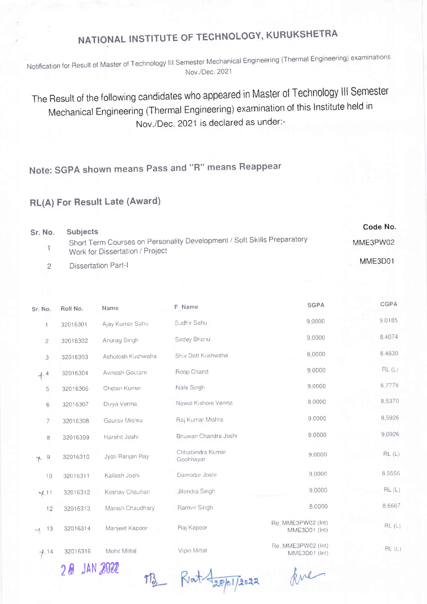## NATIONAL INSTITUTE OF TECHNOLOGY, KURUKSHETRA

Notification for Result of Master of Technology III Semester Mechanical Engineering (Thermal Engineering) examinations Nov./Dec 2021

The Result of the following candidates who appeared in Master of Technology III Semester Mechanical Engineering (Thermal Engineering) examination of this Institute held in Nov./Dec. 2021 is declared as under:-

## Note: SGPA shown means Pass and "R" means Reappear

## RL(A) For Result Late (Award)

| Sr. No. | <b>Subjects</b>                                                                                            | Code No. |
|---------|------------------------------------------------------------------------------------------------------------|----------|
|         | Short Term Courses on Personality Development / Soft Skills Preparatory<br>Work for Dissertation / Project | MME3PW02 |
|         | <b>Dissertation Part-I</b>                                                                                 | MME3D01  |

| Sr. No.          | Roll No. | Name                | F_Name                        | <b>SGPA</b>                         | <b>CGPA</b> |
|------------------|----------|---------------------|-------------------------------|-------------------------------------|-------------|
| $\mathbf{1}$     | 32016301 | Ajay Kumar Sahu     | Sudhir Sahu                   | 9.0000                              | 9.0185      |
| $\mathbf{2}$     | 32016302 | Anurag Singh        | Sirdey Bhanu                  | 9.0000                              | 8.4074      |
| 3                | 32016303 | Ashutosh Kushwaha   | Shiv Datt Kushwaha            | 8.0000                              | 8.4630      |
| $+$ <sup>4</sup> | 32016304 | Avinash Goutam      | Roop Chand                    | 9.0000                              | RL(L)       |
| 5                | 32016306 | Chetan Kumar        | Nafe Singh                    | 9.0000                              | 8,7778      |
| 6                | 32016307 | Divya Verma         | Nawal Kishore Verma           | 8.0000                              | 8.5370      |
| 7                | 32016308 | Gaurav Mishra       | Raj Kumar Mishra              | 9.0000                              | 8,5926      |
| $^{\rm 8}$       | 32016309 | Harshit Joshi       | Bhuwan Chandra Joshi          | 9.0000                              | 9.0926      |
| 9<br>$\uparrow$  | 32016310 | Jyoti Ranjan Ray    | Chhabindra Kumar<br>Gochhayat | 9.0000                              | RL(L)       |
| 10               | 32016311 | Kailash Joshi       | Damodar Joshi                 | 9.0000                              | 8.5556      |
| $+11$            | 32016312 | Keshav Chauhan      | Jitendra Singh                | 9.0000                              | RL(L)       |
| 12               | 32016313 | Manish Chaudhary    | Ramvir Singh                  | 8.0000                              | 8.6667      |
| $-1$ 13          | 32016314 | Manjeet Kapoor      | Raj Kapoor                    | Re. MME3PW02 (Int)<br>MME3D01 (Int) | RL(L)       |
| $+14$            | 32016316 | <b>Mohit Mittal</b> | Vipin Mittal                  | Re. MME3PW02 (Int)<br>MME3D01 (Int) | RL(L)       |
|                  |          |                     |                               |                                     |             |

28 JAN 2022

M3 Rat Laspissa

kne